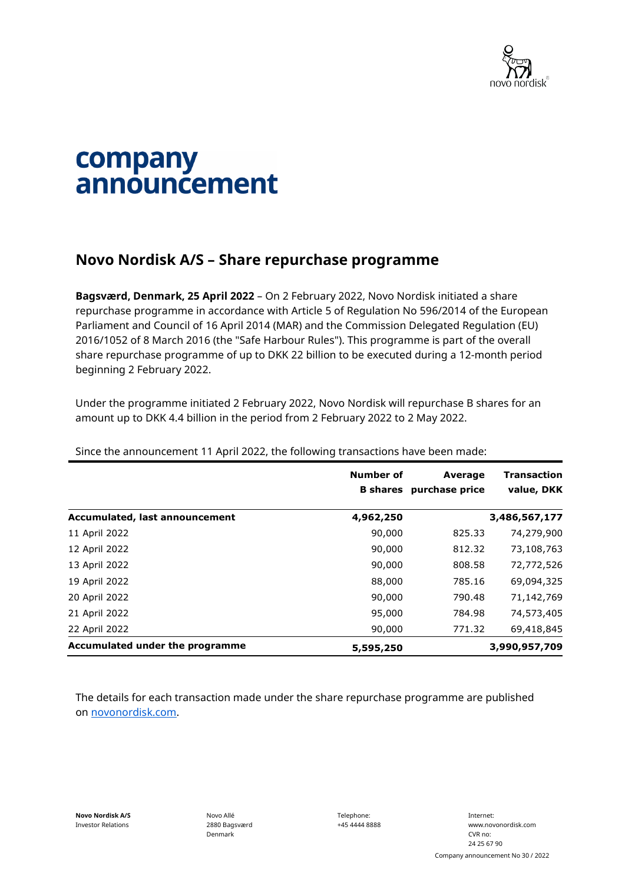

## company announcement

## **Novo Nordisk A/S – Share repurchase programme**

**Bagsværd, Denmark, 25 April 2022** – On 2 February 2022, Novo Nordisk initiated a share repurchase programme in accordance with Article 5 of Regulation No 596/2014 of the European Parliament and Council of 16 April 2014 (MAR) and the Commission Delegated Regulation (EU) 2016/1052 of 8 March 2016 (the "Safe Harbour Rules"). This programme is part of the overall share repurchase programme of up to DKK 22 billion to be executed during a 12-month period beginning 2 February 2022.

Under the programme initiated 2 February 2022, Novo Nordisk will repurchase B shares for an amount up to DKK 4.4 billion in the period from 2 February 2022 to 2 May 2022.

|                                       | <b>Number of</b><br><b>B</b> shares | Average<br>purchase price | <b>Transaction</b><br>value, DKK |
|---------------------------------------|-------------------------------------|---------------------------|----------------------------------|
| <b>Accumulated, last announcement</b> | 4,962,250                           |                           | 3,486,567,177                    |
| 11 April 2022                         | 90,000                              | 825.33                    | 74,279,900                       |
| 12 April 2022                         | 90,000                              | 812.32                    | 73,108,763                       |
| 13 April 2022                         | 90,000                              | 808.58                    | 72,772,526                       |
| 19 April 2022                         | 88,000                              | 785.16                    | 69,094,325                       |
| 20 April 2022                         | 90,000                              | 790.48                    | 71,142,769                       |
| 21 April 2022                         | 95,000                              | 784.98                    | 74,573,405                       |
| 22 April 2022                         | 90,000                              | 771.32                    | 69,418,845                       |
| Accumulated under the programme       | 5,595,250                           |                           | 3,990,957,709                    |

Since the announcement 11 April 2022, the following transactions have been made:

The details for each transaction made under the share repurchase programme are published on [novonordisk.com.](https://www.novonordisk.com/news-and-media/news-and-ir-materials.html)

Novo Allé 2880 Bagsværd Denmark

Telephone: +45 4444 8888